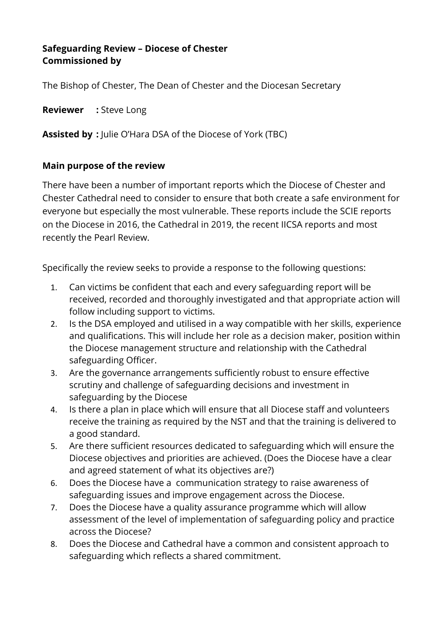## **Safeguarding Review – Diocese of Chester Commissioned by**

The Bishop of Chester, The Dean of Chester and the Diocesan Secretary

**Reviewer :** Steve Long

**Assisted by :** Julie O'Hara DSA of the Diocese of York (TBC)

### **Main purpose of the review**

There have been a number of important reports which the Diocese of Chester and Chester Cathedral need to consider to ensure that both create a safe environment for everyone but especially the most vulnerable. These reports include the SCIE reports on the Diocese in 2016, the Cathedral in 2019, the recent IICSA reports and most recently the Pearl Review.

Specifically the review seeks to provide a response to the following questions:

- 1. Can victims be confident that each and every safeguarding report will be received, recorded and thoroughly investigated and that appropriate action will follow including support to victims.
- 2. Is the DSA employed and utilised in a way compatible with her skills, experience and qualifications. This will include her role as a decision maker, position within the Diocese management structure and relationship with the Cathedral safeguarding Officer.
- 3. Are the governance arrangements sufficiently robust to ensure effective scrutiny and challenge of safeguarding decisions and investment in safeguarding by the Diocese
- 4. Is there a plan in place which will ensure that all Diocese staff and volunteers receive the training as required by the NST and that the training is delivered to a good standard.
- 5. Are there sufficient resources dedicated to safeguarding which will ensure the Diocese objectives and priorities are achieved. (Does the Diocese have a clear and agreed statement of what its objectives are?)
- 6. Does the Diocese have a communication strategy to raise awareness of safeguarding issues and improve engagement across the Diocese.
- 7. Does the Diocese have a quality assurance programme which will allow assessment of the level of implementation of safeguarding policy and practice across the Diocese?
- 8. Does the Diocese and Cathedral have a common and consistent approach to safeguarding which reflects a shared commitment.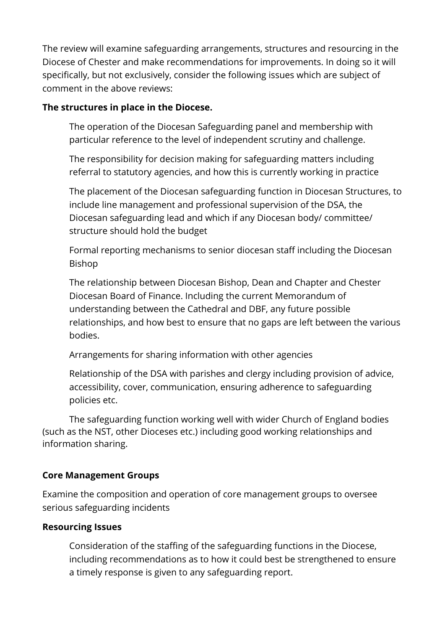The review will examine safeguarding arrangements, structures and resourcing in the Diocese of Chester and make recommendations for improvements. In doing so it will specifically, but not exclusively, consider the following issues which are subject of comment in the above reviews:

### **The structures in place in the Diocese.**

The operation of the Diocesan Safeguarding panel and membership with particular reference to the level of independent scrutiny and challenge.

The responsibility for decision making for safeguarding matters including referral to statutory agencies, and how this is currently working in practice

The placement of the Diocesan safeguarding function in Diocesan Structures, to include line management and professional supervision of the DSA, the Diocesan safeguarding lead and which if any Diocesan body/ committee/ structure should hold the budget

Formal reporting mechanisms to senior diocesan staff including the Diocesan Bishop

The relationship between Diocesan Bishop, Dean and Chapter and Chester Diocesan Board of Finance. Including the current Memorandum of understanding between the Cathedral and DBF, any future possible relationships, and how best to ensure that no gaps are left between the various bodies.

Arrangements for sharing information with other agencies

Relationship of the DSA with parishes and clergy including provision of advice, accessibility, cover, communication, ensuring adherence to safeguarding policies etc.

The safeguarding function working well with wider Church of England bodies (such as the NST, other Dioceses etc.) including good working relationships and information sharing.

## **Core Management Groups**

Examine the composition and operation of core management groups to oversee serious safeguarding incidents

#### **Resourcing Issues**

Consideration of the staffing of the safeguarding functions in the Diocese, including recommendations as to how it could best be strengthened to ensure a timely response is given to any safeguarding report.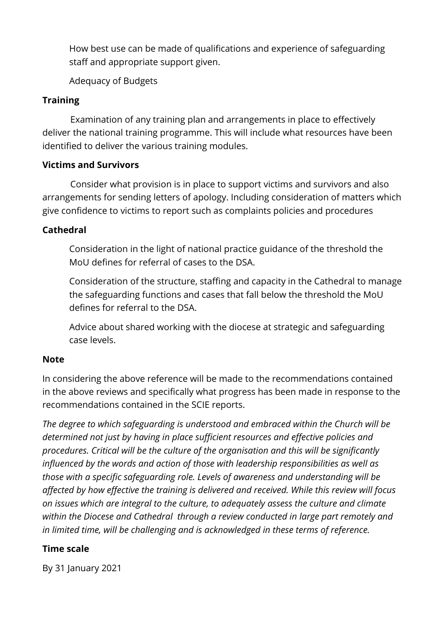How best use can be made of qualifications and experience of safeguarding staff and appropriate support given.

Adequacy of Budgets

# **Training**

 Examination of any training plan and arrangements in place to effectively deliver the national training programme. This will include what resources have been identified to deliver the various training modules.

### **Victims and Survivors**

 Consider what provision is in place to support victims and survivors and also arrangements for sending letters of apology. Including consideration of matters which give confidence to victims to report such as complaints policies and procedures

## **Cathedral**

Consideration in the light of national practice guidance of the threshold the MoU defines for referral of cases to the DSA.

Consideration of the structure, staffing and capacity in the Cathedral to manage the safeguarding functions and cases that fall below the threshold the MoU defines for referral to the DSA.

Advice about shared working with the diocese at strategic and safeguarding case levels.

## **Note**

In considering the above reference will be made to the recommendations contained in the above reviews and specifically what progress has been made in response to the recommendations contained in the SCIE reports.

*The degree to which safeguarding is understood and embraced within the Church will be determined not just by having in place sufficient resources and effective policies and procedures. Critical will be the culture of the organisation and this will be significantly influenced by the words and action of those with leadership responsibilities as well as those with a specific safeguarding role. Levels of awareness and understanding will be affected by how effective the training is delivered and received. While this review will focus on issues which are integral to the culture, to adequately assess the culture and climate within the Diocese and Cathedral through a review conducted in large part remotely and in limited time, will be challenging and is acknowledged in these terms of reference.*

## **Time scale**

By 31 January 2021